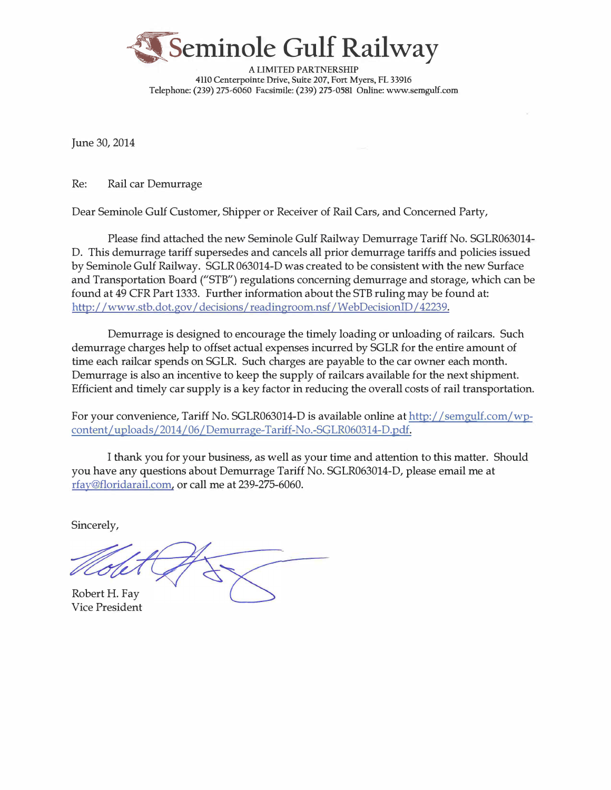

**A LIMITED PARTNERSHIP** 4110 Centerpointe Drive, Suite 207, Fort Myers, FL 33916 Telephone: (239) 275-6060 Facsimile: (239) 275-0581 Online: www.semgulf.com

June 30, 2014

Re: Rail car Demurrage

Dear Seminole Gulf Customer, Shipper or Receiver of Rail Cars, and Concerned Party,

Please find attached the new Seminole Gulf Railway Demurrage Tariff No. SGLR063014- D. This demurrage tariff supersedes and cancels all prior demurrage tariffs and policies issued by Seminole Gulf Railway. SGLR 063014-D was created to be consistent with the new Surface and Transportation Board ("STB") regulations concerning demurrage and storage, which can be found at 49 CFR Part 1333. Further information about the STB ruling may be found at: http://www.stb.dot.gov/ decisions/ readingroom.nsf /WebDecisionID / 42239.

Demurrage is designed to encourage the timely loading or unloading of railcars. Such demurrage charges help to offset actual expenses incurred by SGLR for the entire amount of time each railcar spends on SGLR. Such charges are payable to the car owner each month. Demurrage is also an incentive to keep the supply of railcars available for the next shipment. Efficient and timely car supply is a key factor in reducing the overall costs of rail transportation.

For your convenience, Tariff No. SGLR063014-D is available online at http://semgulf.com/wpcontent/uploads/2014/06/Demurrage-Tariff-No.-SGLR060314-D.pdf.

I thank you for your business, as well as your time and attention to this matter. Should you have any questions about Demurrage Tariff No. SGLR063014-D, please email me at rfay@floridarail.com, or call me at 239-275-6060.

Sincerely,

Robert H. Fay

Vice President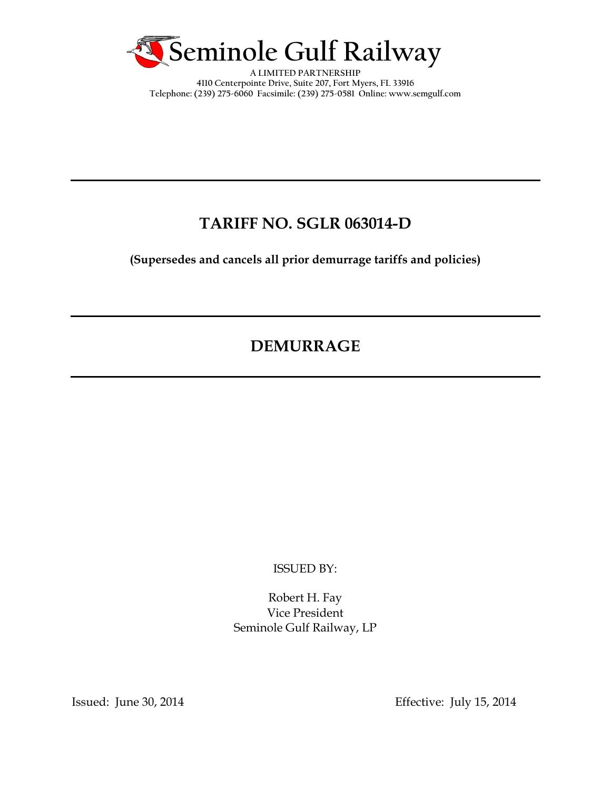

**A LIMITED PARTNERSHIP 4110 Centerpointe Drive, Suite 207, Fort Myers, FL 33916 Telephone: (239) 275-6060 Facsimile: (239) 275-0581 Online: www.semgulf.com** 

# **TARIFF NO. SGLR 063014-D**

**(Supersedes and cancels all prior demurrage tariffs and policies)** 

# **DEMURRAGE**

ISSUED BY:

Robert H. Fay Vice President Seminole Gulf Railway, LP

Issued: June 30, 2014 Effective: July 15, 2014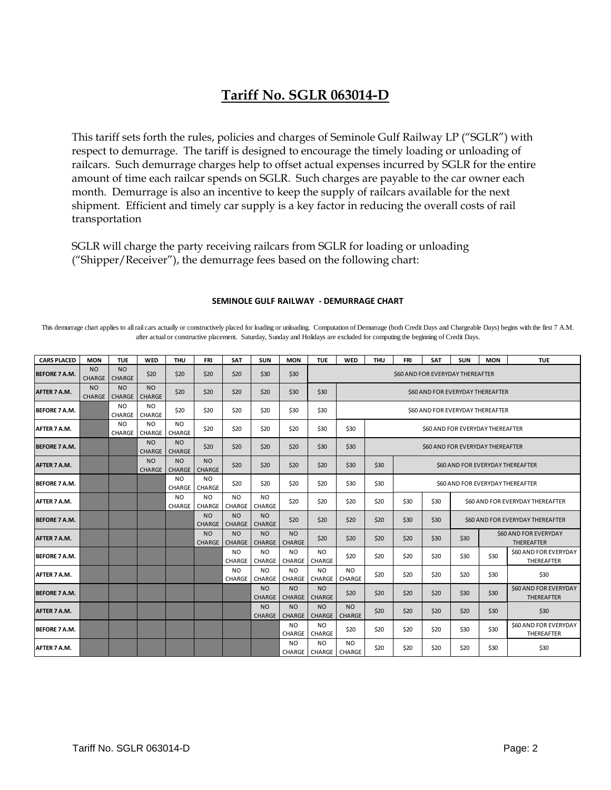## **Tariff No. SGLR 063014-D**

This tariff sets forth the rules, policies and charges of Seminole Gulf Railway LP ("SGLR") with respect to demurrage. The tariff is designed to encourage the timely loading or unloading of railcars. Such demurrage charges help to offset actual expenses incurred by SGLR for the entire amount of time each railcar spends on SGLR. Such charges are payable to the car owner each month. Demurrage is also an incentive to keep the supply of railcars available for the next shipment. Efficient and timely car supply is a key factor in reducing the overall costs of rail transportation

SGLR will charge the party receiving railcars from SGLR for loading or unloading ("Shipper/Receiver"), the demurrage fees based on the following chart:

| <b>CARS PLACED</b>   | <b>MON</b>                      | <b>TUE</b>                      | <b>WED</b>                      | <b>THU</b>                      | <b>FRI</b>                 | <b>SAT</b>                      | <b>SUN</b>                       | <b>MON</b>                       | <b>TUE</b>                             | <b>WED</b>                       | <b>THU</b>                       | <b>FRI</b>                              | <b>SAT</b> | <b>SUN</b>                                         | <b>MON</b> | <b>TUE</b>                                        |
|----------------------|---------------------------------|---------------------------------|---------------------------------|---------------------------------|----------------------------|---------------------------------|----------------------------------|----------------------------------|----------------------------------------|----------------------------------|----------------------------------|-----------------------------------------|------------|----------------------------------------------------|------------|---------------------------------------------------|
| <b>BEFORE 7 A.M.</b> | <b>NO</b><br><b>CHARGE</b>      | NO.<br>CHARGE                   | \$20                            | \$20                            | \$20                       | \$20                            | \$30                             | \$30                             |                                        | \$60 AND FOR EVERYDAY THEREAFTER |                                  |                                         |            |                                                    |            |                                                   |
| AFTER 7 A.M.         | N <sub>O</sub><br><b>CHARGE</b> | N <sub>O</sub><br><b>CHARGE</b> | N <sub>O</sub><br><b>CHARGE</b> | \$20                            | \$20                       | \$20                            | \$20                             | \$30                             | \$30                                   |                                  | \$60 AND FOR EVERYDAY THEREAFTER |                                         |            |                                                    |            |                                                   |
| <b>BEFORE 7 A.M.</b> |                                 | N <sub>O</sub><br>CHARGE        | N <sub>O</sub><br><b>CHARGE</b> | \$20                            | \$20                       | \$20                            | \$20                             | \$30                             | \$30                                   |                                  |                                  | \$60 AND FOR EVERYDAY THEREAFTER        |            |                                                    |            |                                                   |
| AFTER 7 A.M.         |                                 | <b>NO</b><br>CHARGE             | N <sub>O</sub><br><b>CHARGE</b> | N <sub>O</sub><br><b>CHARGE</b> | \$20                       | \$20                            | \$20                             | \$20                             | \$30                                   | \$30                             |                                  | \$60 AND FOR EVERYDAY THEREAFTER        |            |                                                    |            |                                                   |
| <b>BEFORE 7 A.M.</b> |                                 |                                 | N <sub>O</sub><br><b>CHARGE</b> | N <sub>O</sub><br><b>CHARGE</b> | \$20                       | \$20                            | \$20                             | \$20                             | \$30                                   | \$30                             |                                  | \$60 AND FOR EVERYDAY THEREAFTER        |            |                                                    |            |                                                   |
| AFTER 7 A.M.         |                                 |                                 | N <sub>O</sub><br>CHARGE        | N <sub>O</sub><br><b>CHARGE</b> | <b>NO</b><br><b>CHARGE</b> | \$20                            | \$20                             | \$20                             | \$20                                   | \$30                             | \$30                             | \$60 AND FOR EVERYDAY THEREAFTER        |            |                                                    |            |                                                   |
| <b>BEFORE 7 A.M.</b> |                                 |                                 |                                 | N <sub>O</sub><br>CHARGE        | N <sub>O</sub><br>CHARGE   | \$20                            | \$20                             | \$20                             | \$20                                   | \$30                             | \$30                             | <b>\$60 AND FOR EVERYDAY THEREAFTER</b> |            |                                                    |            |                                                   |
| AFTER 7 A.M.         |                                 |                                 |                                 | N <sub>O</sub><br>CHARGE        | N <sub>O</sub><br>CHARGE   | NO.<br>CHARGE                   | NO.<br>CHARGE                    | \$20                             | \$20                                   | \$20                             | \$20                             | \$30                                    | \$30       | \$60 AND FOR EVERYDAY THEREAFTER                   |            |                                                   |
| <b>BEFORE 7 A.M.</b> |                                 |                                 |                                 |                                 | NO.<br><b>CHARGE</b>       | NO.<br><b>CHARGE</b>            | <b>NO</b><br>CHARGE              | \$20                             | \$20                                   | \$20                             | \$20                             | \$30                                    | \$30       | \$60 AND FOR EVERYDAY THEREAFTER                   |            |                                                   |
| AFTER 7 A.M.         |                                 |                                 |                                 |                                 | <b>NO</b><br><b>CHARGE</b> | NO.<br><b>CHARGE</b>            | NO <sub>1</sub><br><b>CHARGE</b> | NO <sub>1</sub><br><b>CHARGE</b> | \$20                                   | \$20                             | \$20                             | \$20                                    | \$30       | \$60 AND FOR EVERYDAY<br>\$30<br><b>THEREAFTER</b> |            |                                                   |
| <b>BEFORE 7 A.M.</b> |                                 |                                 |                                 |                                 |                            | N <sub>O</sub><br><b>CHARGE</b> | <b>NO</b><br>CHARGE              | N <sub>O</sub><br>CHARGE         | N <sub>O</sub><br>CHARGE               | \$20                             | \$20                             | \$20                                    | \$20       | \$30                                               | \$30       | <b>\$60 AND FOR EVERYDAY</b><br>THEREAFTER        |
| AFTER 7 A.M.         |                                 |                                 |                                 |                                 |                            | N <sub>O</sub><br>CHARGE        | <b>NO</b><br>CHARGE              | N <sub>O</sub><br>CHARGE         | N <sub>O</sub><br>CHARGE               | <b>NO</b><br>CHARGE              | \$20                             | \$20                                    | \$20       | \$20                                               | \$30       | \$30                                              |
| <b>BEFORE 7 A.M.</b> |                                 |                                 |                                 |                                 |                            |                                 | NO.<br>CHARGE                    | <b>NO</b><br>CHARGE              | <b>NO</b><br><b>CHARGE</b>             | \$20                             | \$20                             | \$20                                    | \$20       | \$30                                               | \$30       | <b>\$60 AND FOR EVERYDAY</b><br><b>THEREAFTER</b> |
| AFTER 7 A.M.         |                                 |                                 |                                 |                                 |                            |                                 | <b>NO</b><br>CHARGE              | <b>NO</b><br><b>CHARGE</b>       | <b>NO</b><br><b>CHARGE</b>             | <b>NO</b><br><b>CHARGE</b>       | \$20                             | \$20                                    | \$20       | \$20                                               | \$30       | \$30                                              |
| <b>BEFORE 7 A.M.</b> |                                 |                                 |                                 |                                 |                            |                                 |                                  | <b>NO</b><br>CHARGE              | NO.<br>CHARGE                          | \$20                             | \$20                             | \$20                                    | \$20       | \$30                                               | \$30       | \$60 AND FOR EVERYDAY<br>THEREAFTER               |
| AFTER 7 A.M.         |                                 |                                 |                                 |                                 |                            |                                 |                                  | N <sub>O</sub>                   | N <sub>O</sub><br>CHARGE CHARGE CHARGE | N <sub>O</sub>                   | \$20                             | \$20                                    | \$20       | \$20                                               | \$30       | \$30                                              |

#### **SEMINOLE GULF RAILWAY ‐ DEMURRAGE CHART**

This demurrage chart applies to all rail cars actually or constructively placed for loading or unloading. Computation of Demurrage (both Credit Days and Chargeable Days) begins with the first 7 A.M. after actual or constructive placement. Saturday, Sunday and Holidays are excluded for computing the beginning of Credit Days.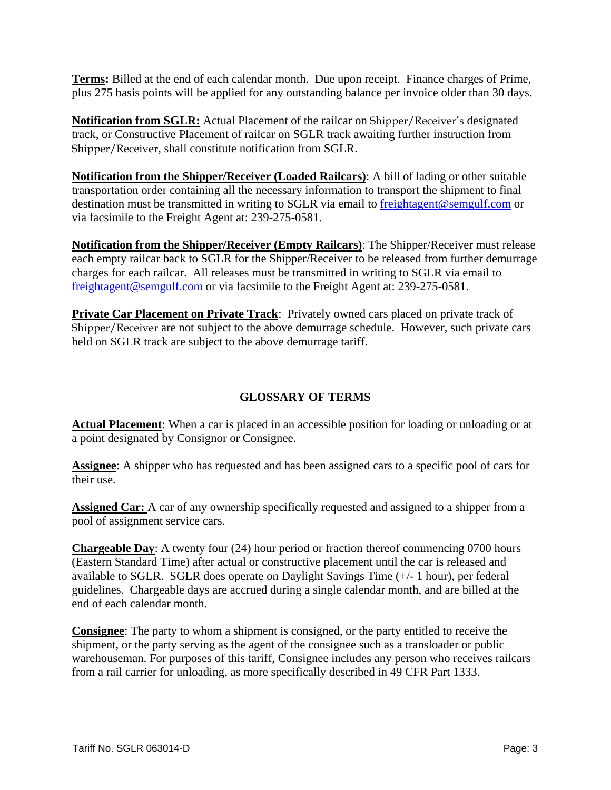**Terms:** Billed at the end of each calendar month. Due upon receipt. Finance charges of Prime, plus 275 basis points will be applied for any outstanding balance per invoice older than 30 days.

**Notification from SGLR:** Actual Placement of the railcar on Shipper/Receiver's designated track, or Constructive Placement of railcar on SGLR track awaiting further instruction from Shipper/Receiver, shall constitute notification from SGLR.

**Notification from the Shipper/Receiver (Loaded Railcars)**: A bill of lading or other suitable transportation order containing all the necessary information to transport the shipment to final destination must be transmitted in writing to SGLR via email to freightagent@semgulf.com or via facsimile to the Freight Agent at: 239-275-0581.

**Notification from the Shipper/Receiver (Empty Railcars)**: The Shipper/Receiver must release each empty railcar back to SGLR for the Shipper/Receiver to be released from further demurrage charges for each railcar. All releases must be transmitted in writing to SGLR via email to freightagent@semgulf.com or via facsimile to the Freight Agent at: 239-275-0581.

**Private Car Placement on Private Track**: Privately owned cars placed on private track of Shipper/Receiver are not subject to the above demurrage schedule. However, such private cars held on SGLR track are subject to the above demurrage tariff.

### **GLOSSARY OF TERMS**

**Actual Placement**: When a car is placed in an accessible position for loading or unloading or at a point designated by Consignor or Consignee.

**Assignee**: A shipper who has requested and has been assigned cars to a specific pool of cars for their use.

**Assigned Car:** A car of any ownership specifically requested and assigned to a shipper from a pool of assignment service cars.

**Chargeable Day**: A twenty four (24) hour period or fraction thereof commencing 0700 hours (Eastern Standard Time) after actual or constructive placement until the car is released and available to SGLR. SGLR does operate on Daylight Savings Time (+/- 1 hour), per federal guidelines. Chargeable days are accrued during a single calendar month, and are billed at the end of each calendar month.

**Consignee**: The party to whom a shipment is consigned, or the party entitled to receive the shipment, or the party serving as the agent of the consignee such as a transloader or public warehouseman. For purposes of this tariff, Consignee includes any person who receives railcars from a rail carrier for unloading, as more specifically described in 49 CFR Part 1333.